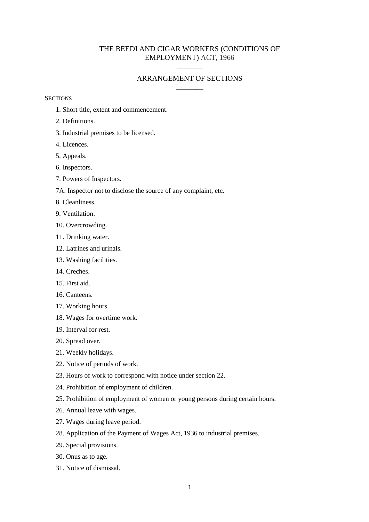# THE BEEDI AND CIGAR WORKERS (CONDITIONS OF EMPLOYMENT) ACT, 1966

 $\overline{\phantom{a}}$ 

## ARRANGEMENT OF SECTIONS \_\_\_\_\_\_\_\_

**SECTIONS** 

- 1. Short title, extent and commencement.
- 2. Definitions.
- 3. Industrial premises to be licensed.
- 4. Licences.
- 5. Appeals.
- 6. Inspectors.
- 7. Powers of Inspectors.
- 7A. Inspector not to disclose the source of any complaint, etc.
- 8. Cleanliness.
- 9. Ventilation.
- 10. Overcrowding.
- 11. Drinking water.
- 12. Latrines and urinals.
- 13. Washing facilities.
- 14. Creches.
- 15. First aid.
- 16. Canteens.
- 17. Working hours.
- 18. Wages for overtime work.
- 19. Interval for rest.
- 20. Spread over.
- 21. Weekly holidays.
- 22. Notice of periods of work.
- 23. Hours of work to correspond with notice under section 22.
- 24. Prohibition of employment of children.
- 25. Prohibition of employment of women or young persons during certain hours.
- 26. Annual leave with wages.
- 27. Wages during leave period.
- 28. Application of the Payment of Wages Act, 1936 to industrial premises.
- 29. Special provisions.
- 30. Onus as to age.
- 31. Notice of dismissal.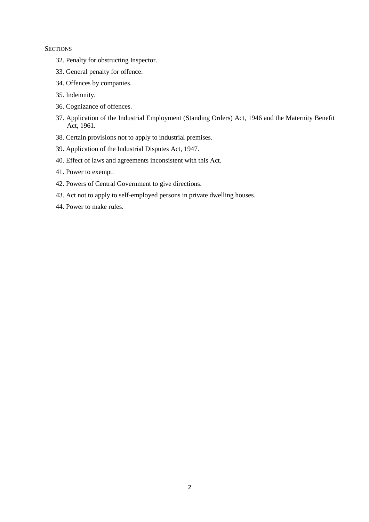### **SECTIONS**

- 32. Penalty for obstructing Inspector.
- 33. General penalty for offence.
- 34. Offences by companies.
- 35. Indemnity.
- 36. Cognizance of offences.
- 37. Application of the Industrial Employment (Standing Orders) Act, 1946 and the Maternity Benefit Act, 1961.
- 38. Certain provisions not to apply to industrial premises.
- 39. Application of the Industrial Disputes Act, 1947.
- 40. Effect of laws and agreements inconsistent with this Act.
- 41. Power to exempt.
- 42. Powers of Central Government to give directions.
- 43. Act not to apply to self-employed persons in private dwelling houses.
- 44. Power to make rules.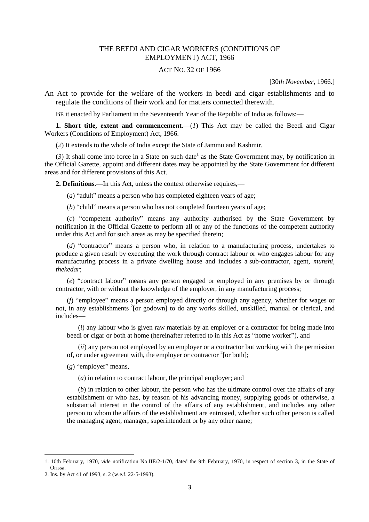## THE BEEDI AND CIGAR WORKERS (CONDITIONS OF EMPLOYMENT) ACT, 1966

#### ACT NO. 32 OF 1966

[30*th November,* 1966.]

An Act to provide for the welfare of the workers in beedi and cigar establishments and to regulate the conditions of their work and for matters connected therewith.

BE it enacted by Parliament in the Seventeenth Year of the Republic of India as follows:—

**1. Short title, extent and commencement.**—(*1*) This Act may be called the Beedi and Cigar Workers (Conditions of Employment) Act, 1966.

(*2*) It extends to the whole of India except the State of Jammu and Kashmir.

 $(3)$  It shall come into force in a State on such date<sup>1</sup> as the State Government may, by notification in the Official Gazette, appoint and different dates may be appointed by the State Government for different areas and for different provisions of this Act.

**2. Definitions.—**In this Act, unless the context otherwise requires,—

(*a*) "adult" means a person who has completed eighteen years of age;

(*b*) "child" means a person who has not completed fourteen years of age;

(*c*) "competent authority" means any authority authorised by the State Government by notification in the Official Gazette to perform all or any of the functions of the competent authority under this Act and for such areas as may be specified therein;

(*d*) "contractor" means a person who, in relation to a manufacturing process, undertakes to produce a given result by executing the work through contract labour or who engages labour for any manufacturing process in a private dwelling house and includes a sub-contractor, agent, *munshi, thekedar*;

(*e*) "contract labour" means any person engaged or employed in any premises by or through contractor, with or without the knowledge of the employer, in any manufacturing process;

(*f*) "employee" means a person employed directly or through any agency, whether for wages or not, in any establishments <sup>2</sup>[or godown] to do any works skilled, unskilled, manual or clerical, and includes—

(*i*) any labour who is given raw materials by an employer or a contractor for being made into beedi or cigar or both at home (hereinafter referred to in this Act as "home worker"), and

(*ii*) any person not employed by an employer or a contractor but working with the permission of, or under agreement with, the employer or contractor  $2$ [or both];

(*g*) "employer" means,—

(*a*) in relation to contract labour, the principal employer; and

(*b*) in relation to other labour, the person who has the ultimate control over the affairs of any establishment or who has, by reason of his advancing money, supplying goods or otherwise, a substantial interest in the control of the affairs of any establishment, and includes any other person to whom the affairs of the establishment are entrusted, whether such other person is called the managing agent, manager, superintendent or by any other name;

<sup>1. 10</sup>th February, 1970, *vide* notification No.IIE/2-1/70, dated the 9th February, 1970, in respect of section 3, in the State of Orissa.

<sup>2.</sup> Ins. by Act 41 of 1993, s. 2 (w.e.f. 22-5-1993).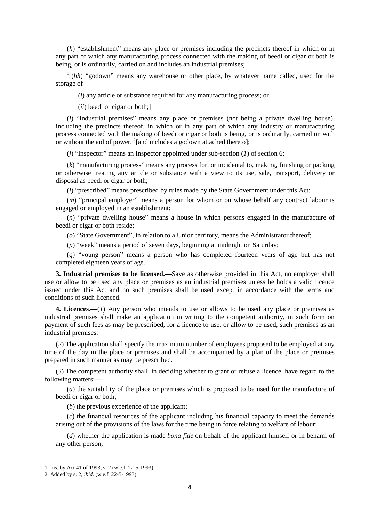(*h*) "establishment" means any place or premises including the precincts thereof in which or in any part of which any manufacturing process connected with the making of beedi or cigar or both is being, or is ordinarily, carried on and includes an industrial premises;

 $\Gamma$ <sup>1</sup>[(*hh*) "godown" means any warehouse or other place, by whatever name called, used for the storage of—

(*i*) any article or substance required for any manufacturing process; or

(*ii*) beedi or cigar or both;]

(*i*) "industrial premises" means any place or premises (not being a private dwelling house), including the precincts thereof, in which or in any part of which any industry or manufacturing process connected with the making of beedi or cigar or both is being, or is ordinarily, carried on with or without the aid of power,  $^{2}$ [and includes a godown attached thereto];

 $(i)$  "Inspector" means an Inspector appointed under sub-section  $(I)$  of section 6;

(*k*) "manufacturing process" means any process for, or incidental to, making, finishing or packing or otherwise treating any article or substance with a view to its use, sale, transport, delivery or disposal as beedi or cigar or both;

(*l*) "prescribed" means prescribed by rules made by the State Government under this Act;

(*m*) "principal employer" means a person for whom or on whose behalf any contract labour is engaged or employed in an establishment;

(*n*) "private dwelling house" means a house in which persons engaged in the manufacture of beedi or cigar or both reside;

(*o*) "State Government", in relation to a Union territory, means the Administrator thereof;

(*p*) "week" means a period of seven days, beginning at midnight on Saturday;

(*q*) "young person" means a person who has completed fourteen years of age but has not completed eighteen years of age.

**3. Industrial premises to be licensed.—**Save as otherwise provided in this Act, no employer shall use or allow to be used any place or premises as an industrial premises unless he holds a valid licence issued under this Act and no such premises shall be used except in accordance with the terms and conditions of such licenced.

**4. Licences.—**(*1*) Any person who intends to use or allows to be used any place or premises as industrial premises shall make an application in writing to the competent authority, in such form on payment of such fees as may be prescribed, for a licence to use, or allow to be used, such premises as an industrial premises.

(*2*) The application shall specify the maximum number of employees proposed to be employed at any time of the day in the place or premises and shall be accompanied by a plan of the place or premises prepared in such manner as may be prescribed.

(*3*) The competent authority shall, in deciding whether to grant or refuse a licence, have regard to the following matters:—

(*a*) the suitability of the place or premises which is proposed to be used for the manufacture of beedi or cigar or both;

(*b*) the previous experience of the applicant;

(*c*) the financial resources of the applicant including his financial capacity to meet the demands arising out of the provisions of the laws for the time being in force relating to welfare of labour;

(*d*) whether the application is made *bona fide* on behalf of the applicant himself or in benami of any other person;

1

<sup>1.</sup> Ins. by Act 41 of 1993, s. 2 (w.e.f. 22-5-1993).

<sup>2.</sup> Added by s. 2, *ibid.* (w.e.f. 22-5-1993).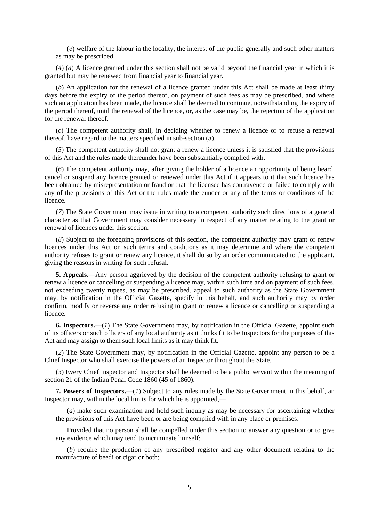(*e*) welfare of the labour in the locality, the interest of the public generally and such other matters as may be prescribed.

(*4*) (*a*) A licence granted under this section shall not be valid beyond the financial year in which it is granted but may be renewed from financial year to financial year.

(*b*) An application for the renewal of a licence granted under this Act shall be made at least thirty days before the expiry of the period thereof, on payment of such fees as may be prescribed, and where such an application has been made, the licence shall be deemed to continue, notwithstanding the expiry of the period thereof, until the renewal of the licence, or, as the case may be, the rejection of the application for the renewal thereof.

(*c*) The competent authority shall, in deciding whether to renew a licence or to refuse a renewal thereof, have regard to the matters specified in sub-section (*3*).

(*5*) The competent authority shall not grant a renew a licence unless it is satisfied that the provisions of this Act and the rules made thereunder have been substantially complied with.

(*6*) The competent authority may, after giving the holder of a licence an opportunity of being heard, cancel or suspend any licence granted or renewed under this Act if it appears to it that such licence has been obtained by misrepresentation or fraud or that the licensee has contravened or failed to comply with any of the provisions of this Act or the rules made thereunder or any of the terms or conditions of the licence.

(*7*) The State Government may issue in writing to a competent authority such directions of a general character as that Government may consider necessary in respect of any matter relating to the grant or renewal of licences under this section.

(*8*) Subject to the foregoing provisions of this section, the competent authority may grant or renew licences under this Act on such terms and conditions as it may determine and where the competent authority refuses to grant or renew any licence, it shall do so by an order communicated to the applicant, giving the reasons in writing for such refusal.

**5. Appeals.—**Any person aggrieved by the decision of the competent authority refusing to grant or renew a licence or cancelling or suspending a licence may, within such time and on payment of such fees, not exceeding twenty rupees, as may be prescribed, appeal to such authority as the State Government may, by notification in the Official Gazette, specify in this behalf, and such authority may by order confirm, modify or reverse any order refusing to grant or renew a licence or cancelling or suspending a licence.

**6. Inspectors.—**(*1*) The State Government may, by notification in the Official Gazette, appoint such of its officers or such officers of any local authority as it thinks fit to be Inspectors for the purposes of this Act and may assign to them such local limits as it may think fit.

(*2*) The State Government may, by notification in the Official Gazette, appoint any person to be a Chief Inspector who shall exercise the powers of an Inspector throughout the State.

(*3*) Every Chief Inspector and Inspector shall be deemed to be a public servant within the meaning of section 21 of the Indian Penal Code 1860 (45 of 1860).

**7. Powers of Inspectors.—**(*1*) Subject to any rules made by the State Government in this behalf, an Inspector may, within the local limits for which he is appointed,—

(*a*) make such examination and hold such inquiry as may be necessary for ascertaining whether the provisions of this Act have been or are being complied with in any place or premises:

Provided that no person shall be compelled under this section to answer any question or to give any evidence which may tend to incriminate himself;

(*b*) require the production of any prescribed register and any other document relating to the manufacture of beedi or cigar or both;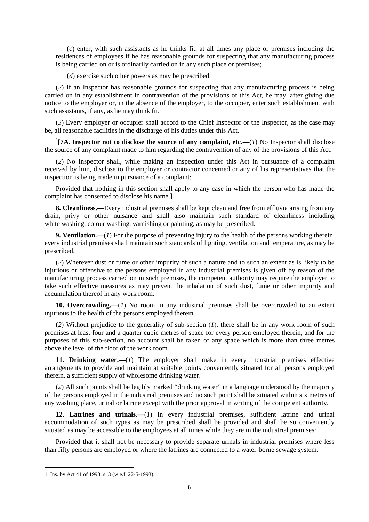(*c*) enter, with such assistants as he thinks fit, at all times any place or premises including the residences of employees if he has reasonable grounds for suspecting that any manufacturing process is being carried on or is ordinarily carried on in any such place or premises;

(*d*) exercise such other powers as may be prescribed.

(*2*) If an Inspector has reasonable grounds for suspecting that any manufacturing process is being carried on in any establishment in contravention of the provisions of this Act, he may, after giving due notice to the employer or, in the absence of the employer, to the occupier, enter such establishment with such assistants, if any, as he may think fit.

(*3*) Every employer or occupier shall accord to the Chief Inspector or the Inspector, as the case may be, all reasonable facilities in the discharge of his duties under this Act.

<sup>1</sup>[7A. Inspector not to disclose the source of any complaint, etc.— $(I)$  No Inspector shall disclose the source of any complaint made to him regarding the contravention of any of the provisions of this Act.

(*2*) No Inspector shall, while making an inspection under this Act in pursuance of a complaint received by him, disclose to the employer or contractor concerned or any of his representatives that the inspection is being made in pursuance of a complaint:

Provided that nothing in this section shall apply to any case in which the person who has made the complaint has consented to disclose his name.]

**8. Cleanliness.—**Every industrial premises shall be kept clean and free from effluvia arising from any drain, privy or other nuisance and shall also maintain such standard of cleanliness including white washing, colour washing, varnishing or painting, as may be prescribed.

**9. Ventilation.—**(*1*) For the purpose of preventing injury to the health of the persons working therein, every industrial premises shall maintain such standards of lighting, ventilation and temperature, as may be prescribed.

(*2*) Wherever dust or fume or other impurity of such a nature and to such an extent as is likely to be injurious or offensive to the persons employed in any industrial premises is given off by reason of the manufacturing process carried on in such premises, the competent authority may require the employer to take such effective measures as may prevent the inhalation of such dust, fume or other impurity and accumulation thereof in any work room.

**10. Overcrowding.—**(*1*) No room in any industrial premises shall be overcrowded to an extent injurious to the health of the persons employed therein.

(*2*) Without prejudice to the generality of sub-section (*1*), there shall be in any work room of such premises at least four and a quarter cubic metres of space for every person employed therein, and for the purposes of this sub-section, no account shall be taken of any space which is more than three metres above the level of the floor of the work room.

**11. Drinking water.—**(*1*) The employer shall make in every industrial premises effective arrangements to provide and maintain at suitable points conveniently situated for all persons employed therein, a sufficient supply of wholesome drinking water.

(*2*) All such points shall be legibly marked "drinking water" in a language understood by the majority of the persons employed in the industrial premises and no such point shall be situated within six metres of any washing place, urinal or latrine except with the prior approval in writing of the competent authority.

**12. Latrines and urinals.—**(*1*) In every industrial premises, sufficient latrine and urinal accommodation of such types as may be prescribed shall be provided and shall be so conveniently situated as may be accessible to the employees at all times while they are in the industrial premises:

Provided that it shall not be necessary to provide separate urinals in industrial premises where less than fifty persons are employed or where the latrines are connected to a water-borne sewage system.

<sup>1.</sup> Ins. by Act 41 of 1993, s. 3 (w.e.f. 22-5-1993).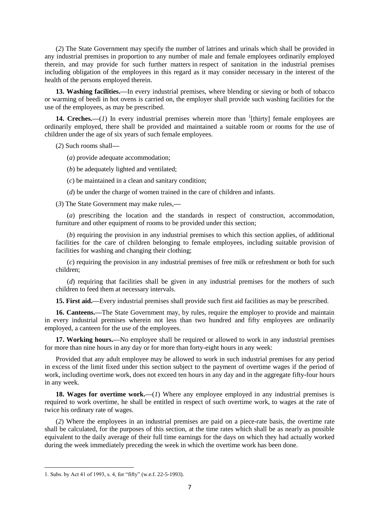(*2*) The State Government may specify the number of latrines and urinals which shall be provided in any industrial premises in proportion to any number of male and female employees ordinarily employed therein, and may provide for such further matters in respect of sanitation in the industrial premises including obligation of the employees in this regard as it may consider necessary in the interest of the health of the persons employed therein.

**13. Washing facilities.—**In every industrial premises, where blending or sieving or both of tobacco or warming of beedi in hot ovens is carried on, the employer shall provide such washing facilities for the use of the employees, as may be prescribed.

**14. Creches.**—(*1*) In every industrial premises wherein more than  $\frac{1}{1}$ [thirty] female employees are ordinarily employed, there shall be provided and maintained a suitable room or rooms for the use of children under the age of six years of such female employees.

(*2*) Such rooms shall**—**

(*a*) provide adequate accommodation;

(*b*) be adequately lighted and ventilated;

(*c*) be maintained in a clean and sanitary condition;

(*d*) be under the charge of women trained in the care of children and infants.

(*3*) The State Government may make rules,**—**

(*a*) prescribing the location and the standards in respect of construction, accommodation, furniture and other equipment of rooms to be provided under this section;

(*b*) requiring the provision in any industrial premises to which this section applies, of additional facilities for the care of children belonging to female employees, including suitable provision of facilities for washing and changing their clothing;

(*c*) requiring the provision in any industrial premises of free milk or refreshment or both for such children;

(*d*) requiring that facilities shall be given in any industrial premises for the mothers of such children to feed them at necessary intervals.

**15. First aid.—**Every industrial premises shall provide such first aid facilities as may be prescribed.

**16. Canteens.—**The State Government may, by rules, require the employer to provide and maintain in every industrial premises wherein not less than two hundred and fifty employees are ordinarily employed, a canteen for the use of the employees.

**17. Working hours.—**No employee shall be required or allowed to work in any industrial premises for more than nine hours in any day or for more than forty-eight hours in any week:

Provided that any adult employee may be allowed to work in such industrial premises for any period in excess of the limit fixed under this section subject to the payment of overtime wages if the period of work, including overtime work, does not exceed ten hours in any day and in the aggregate fifty-four hours in any week.

**18. Wages for overtime work.—**(*1*) Where any employee employed in any industrial premises is required to work overtime, he shall be entitled in respect of such overtime work, to wages at the rate of twice his ordinary rate of wages.

(*2*) Where the employees in an industrial premises are paid on a piece-rate basis, the overtime rate shall be calculated, for the purposes of this section, at the time rates which shall be as nearly as possible equivalent to the daily average of their full time earnings for the days on which they had actually worked during the week immediately preceding the week in which the overtime work has been done.

<sup>1.</sup> Subs. by Act 41 of 1993, s. 4, for "fifty" (w.e.f. 22-5-1993).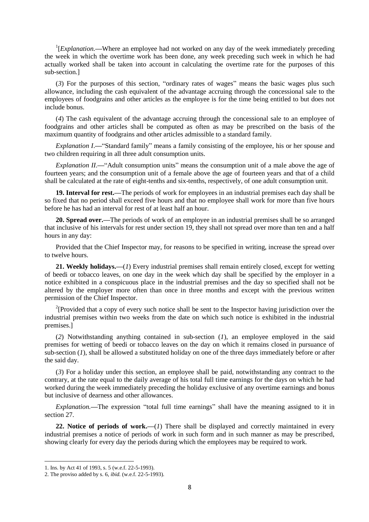<sup>1</sup>[*Explanation*.—Where an employee had not worked on any day of the week immediately preceding the week in which the overtime work has been done, any week preceding such week in which he had actually worked shall be taken into account in calculating the overtime rate for the purposes of this sub-section.]

(*3*) For the purposes of this section, "ordinary rates of wages" means the basic wages plus such allowance, including the cash equivalent of the advantage accruing through the concessional sale to the employees of foodgrains and other articles as the employee is for the time being entitled to but does not include bonus.

(*4*) The cash equivalent of the advantage accruing through the concessional sale to an employee of foodgrains and other articles shall be computed as often as may be prescribed on the basis of the maximum quantity of foodgrains and other articles admissible to a standard family.

*Explanation I*.**—**"Standard family" means a family consisting of the employee, his or her spouse and two children requiring in all three adult consumption units.

*Explanation II*.**—**"Adult consumption units" means the consumption unit of a male above the age of fourteen years; and the consumption unit of a female above the age of fourteen years and that of a child shall be calculated at the rate of eight-tenths and six-tenths, respectively, of one adult consumption unit.

**19. Interval for rest.—**The periods of work for employees in an industrial premises each day shall be so fixed that no period shall exceed five hours and that no employee shall work for more than five hours before he has had an interval for rest of at least half an hour.

**20. Spread over.—**The periods of work of an employee in an industrial premises shall be so arranged that inclusive of his intervals for rest under section 19, they shall not spread over more than ten and a half hours in any day:

Provided that the Chief Inspector may, for reasons to be specified in writing, increase the spread over to twelve hours.

**21. Weekly holidays.—**(*1*) Every industrial premises shall remain entirely closed, except for wetting of beedi or tobacco leaves, on one day in the week which day shall be specified by the employer in a notice exhibited in a conspicuous place in the industrial premises and the day so specified shall not be altered by the employer more often than once in three months and except with the previous written permission of the Chief Inspector.

<sup>2</sup>[Provided that a copy of every such notice shall be sent to the Inspector having jurisdiction over the industrial premises within two weeks from the date on which such notice is exhibited in the industrial premises.]

(*2*) Notwithstanding anything contained in sub-section (*1*), an employee employed in the said premises for wetting of beedi or tobacco leaves on the day on which it remains closed in pursuance of sub-section (*1*), shall be allowed a substituted holiday on one of the three days immediately before or after the said day.

(*3*) For a holiday under this section, an employee shall be paid, notwithstanding any contract to the contrary, at the rate equal to the daily average of his total full time earnings for the days on which he had worked during the week immediately preceding the holiday exclusive of any overtime earnings and bonus but inclusive of dearness and other allowances.

*Explanation.—*The expression "total full time earnings" shall have the meaning assigned to it in section 27.

**22. Notice of periods of work.—**(*1*) There shall be displayed and correctly maintained in every industrial premises a notice of periods of work in such form and in such manner as may be prescribed, showing clearly for every day the periods during which the employees may be required to work.

1

<sup>1.</sup> Ins. by Act 41 of 1993, s. 5 (w.e.f. 22-5-1993).

<sup>2.</sup> The proviso added by s. 6, *ibid.* (w.e.f. 22-5-1993).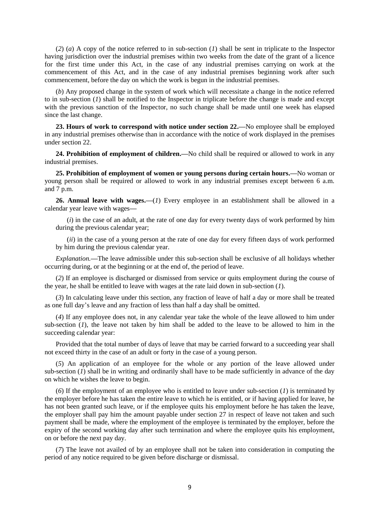(*2*) (*a*) A copy of the notice referred to in sub-section (*1*) shall be sent in triplicate to the Inspector having jurisdiction over the industrial premises within two weeks from the date of the grant of a licence for the first time under this Act, in the case of any industrial premises carrying on work at the commencement of this Act, and in the case of any industrial premises beginning work after such commencement, before the day on which the work is begun in the industrial premises.

(*b*) Any proposed change in the system of work which will necessitate a change in the notice referred to in sub-section (*1*) shall be notified to the Inspector in triplicate before the change is made and except with the previous sanction of the Inspector, no such change shall be made until one week has elapsed since the last change.

**23. Hours of work to correspond with notice under section 22.—**No employee shall be employed in any industrial premises otherwise than in accordance with the notice of work displayed in the premises under section 22.

**24. Prohibition of employment of children.—**No child shall be required or allowed to work in any industrial premises.

**25. Prohibition of employment of women or young persons during certain hours.—**No woman or young person shall be required or allowed to work in any industrial premises except between 6 a.m. and 7 p.m.

**26. Annual leave with wages.—**(*1*) Every employee in an establishment shall be allowed in a calendar year leave with wages**—**

(*i*) in the case of an adult, at the rate of one day for every twenty days of work performed by him during the previous calendar year;

(*ii*) in the case of a young person at the rate of one day for every fifteen days of work performed by him during the previous calendar year.

*Explanation.—*The leave admissible under this sub-section shall be exclusive of all holidays whether occurring during, or at the beginning or at the end of, the period of leave.

(*2*) If an employee is discharged or dismissed from service or quits employment during the course of the year, he shall be entitled to leave with wages at the rate laid down in sub-section (*1*).

(*3*) In calculating leave under this section, any fraction of leave of half a day or more shall be treated as one full day's leave and any fraction of less than half a day shall be omitted.

(*4*) If any employee does not, in any calendar year take the whole of the leave allowed to him under sub-section (*1*), the leave not taken by him shall be added to the leave to be allowed to him in the succeeding calendar year:

Provided that the total number of days of leave that may be carried forward to a succeeding year shall not exceed thirty in the case of an adult or forty in the case of a young person.

(*5*) An application of an employee for the whole or any portion of the leave allowed under sub-section  $(\tilde{l})$  shall be in writing and ordinarily shall have to be made sufficiently in advance of the day on which he wishes the leave to begin.

(*6*) If the employment of an employee who is entitled to leave under sub-section (*1*) is terminated by the employer before he has taken the entire leave to which he is entitled, or if having applied for leave, he has not been granted such leave, or if the employee quits his employment before he has taken the leave, the employer shall pay him the amount payable under section 27 in respect of leave not taken and such payment shall be made, where the employment of the employee is terminated by the employer, before the expiry of the second working day after such termination and where the employee quits his employment, on or before the next pay day.

(*7*) The leave not availed of by an employee shall not be taken into consideration in computing the period of any notice required to be given before discharge or dismissal.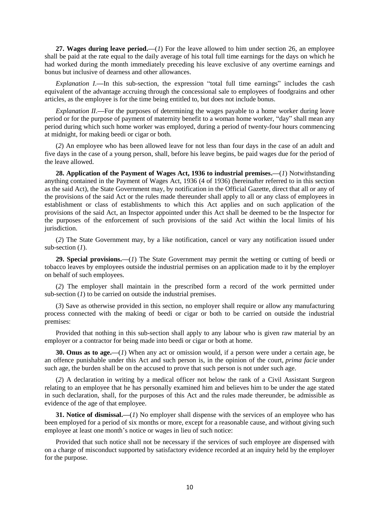**27. Wages during leave period.—**(*1*) For the leave allowed to him under section 26, an employee shall be paid at the rate equal to the daily average of his total full time earnings for the days on which he had worked during the month immediately preceding his leave exclusive of any overtime earnings and bonus but inclusive of dearness and other allowances.

*Explanation I.***—**In this sub-section, the expression "total full time earnings" includes the cash equivalent of the advantage accruing through the concessional sale to employees of foodgrains and other articles, as the employee is for the time being entitled to, but does not include bonus.

*Explanation II*.**—**For the purposes of determining the wages payable to a home worker during leave period or for the purpose of payment of maternity benefit to a woman home worker, "day" shall mean any period during which such home worker was employed, during a period of twenty-four hours commencing at midnight, for making beedi or cigar or both.

(*2*) An employee who has been allowed leave for not less than four days in the case of an adult and five days in the case of a young person, shall, before his leave begins, be paid wages due for the period of the leave allowed.

**28. Application of the Payment of Wages Act, 1936 to industrial premises.—**(*1*) Notwithstanding anything contained in the Payment of Wages Act, 1936 (4 of 1936) (hereinafter referred to in this section as the said Act), the State Government may, by notification in the Official Gazette, direct that all or any of the provisions of the said Act or the rules made thereunder shall apply to all or any class of employees in establishment or class of establishments to which this Act applies and on such application of the provisions of the said Act, an Inspector appointed under this Act shall be deemed to be the Inspector for the purposes of the enforcement of such provisions of the said Act within the local limits of his jurisdiction.

(*2*) The State Government may, by a like notification, cancel or vary any notification issued under sub-section (*1*).

**29. Special provisions.—**(*1*) The State Government may permit the wetting or cutting of beedi or tobacco leaves by employees outside the industrial permises on an application made to it by the employer on behalf of such employees.

(*2*) The employer shall maintain in the prescribed form a record of the work permitted under sub-section (*1*) to be carried on outside the industrial premises.

(*3*) Save as otherwise provided in this section, no employer shall require or allow any manufacturing process connected with the making of beedi or cigar or both to be carried on outside the industrial premises:

Provided that nothing in this sub-section shall apply to any labour who is given raw material by an employer or a contractor for being made into beedi or cigar or both at home.

**30. Onus as to age.—**(*1*) When any act or omission would, if a person were under a certain age, be an offence punishable under this Act and such person is, in the opinion of the court, *prima facie* under such age, the burden shall be on the accused to prove that such person is not under such age.

(*2*) A declaration in writing by a medical officer not below the rank of a Civil Assistant Surgeon relating to an employee that he has personally examined him and believes him to be under the age stated in such declaration, shall, for the purposes of this Act and the rules made thereunder, be admissible as evidence of the age of that employee.

**31. Notice of dismissal.—**(*1*) No employer shall dispense with the services of an employee who has been employed for a period of six months or more, except for a reasonable cause, and without giving such employee at least one month's notice or wages in lieu of such notice:

Provided that such notice shall not be necessary if the services of such employee are dispensed with on a charge of misconduct supported by satisfactory evidence recorded at an inquiry held by the employer for the purpose.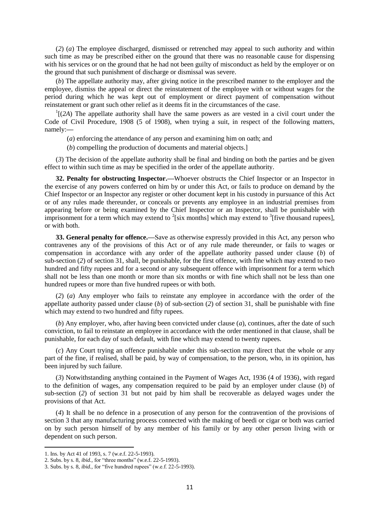(*2*) (*a*) The employee discharged, dismissed or retrenched may appeal to such authority and within such time as may be prescribed either on the ground that there was no reasonable cause for dispensing with his services or on the ground that he had not been guilty of misconduct as held by the employer or on the ground that such punishment of discharge or dismissal was severe.

(*b*) The appellate authority may, after giving notice in the prescribed manner to the employer and the employee, dismiss the appeal or direct the reinstatement of the employee with or without wages for the period during which he was kept out of employment or direct payment of compensation without reinstatement or grant such other relief as it deems fit in the circumstances of the case.

 $<sup>1</sup>$ [(2A) The appellate authority shall have the same powers as are vested in a civil court under the</sup> Code of Civil Procedure, 1908 (5 of 1908), when trying a suit, in respect of the following matters, namely:**—**

(*a*) enforcing the attendance of any person and examining him on oath; and

(*b*) compelling the production of documents and material objects.]

(*3*) The decision of the appellate authority shall be final and binding on both the parties and be given effect to within such time as may be specified in the order of the appellate authority.

**32. Penalty for obstructing Inspector.—**Whoever obstructs the Chief Inspector or an Inspector in the exercise of any powers conferred on him by or under this Act, or fails to produce on demand by the Chief Inspector or an Inspector any register or other document kept in his custody in pursuance of this Act or of any rules made thereunder, or conceals or prevents any employee in an industrial premises from appearing before or being examined by the Chief Inspector or an Inspector, shall be punishable with imprisonment for a term which may extend to  $2$ [six months] which may extend to  $3$ [five thousand rupees], or with both.

**33. General penalty for offence.—**Save as otherwise expressly provided in this Act, any person who contravenes any of the provisions of this Act or of any rule made thereunder, or fails to wages or compensation in accordance with any order of the appellate authority passed under clause (*b*) of sub-section (*2*) of section 31, shall, be punishable, for the first offence, with fine which may extend to two hundred and fifty rupees and for a second or any subsequent offence with imprisonment for a term which shall not be less than one month or more than six months or with fine which shall not be less than one hundred rupees or more than five hundred rupees or with both.

(*2*) (*a*) Any employer who fails to reinstate any employee in accordance with the order of the appellate authority passed under clause (*b*) of sub-section (*2*) of section 31, shall be punishable with fine which may extend to two hundred and fifty rupees.

(*b*) Any employer, who, after having been convicted under clause (*a*), continues, after the date of such conviction, to fail to reinstate an employee in accordance with the order mentioned in that clause, shall be punishable, for each day of such default, with fine which may extend to twenty rupees.

(*c*) Any Court trying an offence punishable under this sub-section may direct that the whole or any part of the fine, if realised, shall be paid, by way of compensation, to the person, who, in its opinion, has been injured by such failure.

(*3*) Notwithstanding anything contained in the Payment of Wages Act, 1936 (4 of 1936), with regard to the definition of wages, any compensation required to be paid by an employer under clause (*b*) of sub-section (*2*) of section 31 but not paid by him shall be recoverable as delayed wages under the provisions of that Act.

(*4*) It shall be no defence in a prosecution of any person for the contravention of the provisions of section 3 that any manufacturing process connected with the making of beedi or cigar or both was carried on by such person himself of by any member of his family or by any other person living with or dependent on such person.

1

<sup>1.</sup> Ins. by Act 41 of 1993, s. 7 (w.e.f. 22-5-1993).

<sup>2.</sup> Subs. by s. 8, *ibid.,* for "three months" (w.e.f. 22-5-1993).

<sup>3.</sup> Subs. by s. 8, *ibid.,* for "five hundred rupees" (w.e.f. 22-5-1993).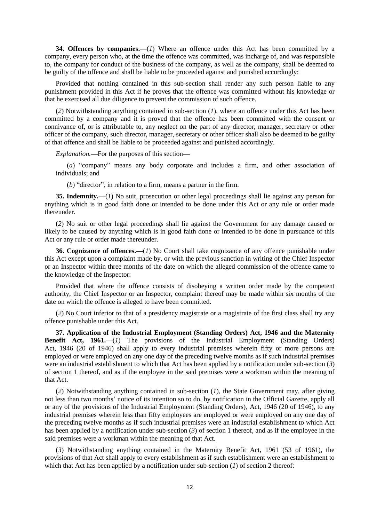**34. Offences by companies.—**(*1*) Where an offence under this Act has been committed by a company, every person who, at the time the offence was committed, was incharge of, and was responsible to, the company for conduct of the business of the company, as well as the company, shall be deemed to be guilty of the offence and shall be liable to be proceeded against and punished accordingly:

Provided that nothing contained in this sub-section shall render any such person liable to any punishment provided in this Act if he proves that the offence was committed without his knowledge or that he exercised all due diligence to prevent the commission of such offence.

(*2*) Notwithstanding anything contained in sub-section (*1*), where an offence under this Act has been committed by a company and it is proved that the offence has been committed with the consent or connivance of, or is attributable to, any neglect on the part of any director, manager, secretary or other officer of the company, such director, manager, secretary or other officer shall also be deemed to be guilty of that offence and shall be liable to be proceeded against and punished accordingly.

*Explanation.***—**For the purposes of this section**—**

(*a*) "company" means any body corporate and includes a firm, and other association of individuals; and

(*b*) "director", in relation to a firm, means a partner in the firm.

**35. Indemnity.—**(*1*) No suit, prosecution or other legal proceedings shall lie against any person for anything which is in good faith done or intended to be done under this Act or any rule or order made thereunder.

(*2*) No suit or other legal proceedings shall lie against the Government for any damage caused or likely to be caused by anything which is in good faith done or intended to be done in pursuance of this Act or any rule or order made thereunder.

**36. Cognizance of offences.—**(*1*) No Court shall take cognizance of any offence punishable under this Act except upon a complaint made by, or with the previous sanction in writing of the Chief Inspector or an Inspector within three months of the date on which the alleged commission of the offence came to the knowledge of the Inspector:

Provided that where the offence consists of disobeying a written order made by the competent authority, the Chief Inspector or an Inspector, complaint thereof may be made within six months of the date on which the offence is alleged to have been committed.

(*2*) No Court inferior to that of a presidency magistrate or a magistrate of the first class shall try any offence punishable under this Act.

**37. Application of the Industrial Employment (Standing Orders) Act, 1946 and the Maternity Benefit Act, 1961.—**(*1*) The provisions of the Industrial Employment (Standing Orders) Act, 1946 (20 of 1946) shall apply to every industrial premises wherein fifty or more persons are employed or were employed on any one day of the preceding twelve months as if such industrial premises were an industrial establishment to which that Act has been applied by a notification under sub-section (*3*) of section 1 thereof, and as if the employee in the said premises were a workman within the meaning of that Act.

(*2*) Notwithstanding anything contained in sub-section (*1*), the State Government may, after giving not less than two months' notice of its intention so to do, by notification in the Official Gazette, apply all or any of the provisions of the Industrial Employment (Standing Orders), Act, 1946 (20 of 1946), to any industrial premises wherein less than fifty employees are employed or were employed on any one day of the preceding twelve months as if such industrial premises were an industrial establishment to which Act has been applied by a notification under sub-section (*3*) of section 1 thereof, and as if the employee in the said premises were a workman within the meaning of that Act.

(*3*) Notwithstanding anything contained in the Maternity Benefit Act, 1961 (53 of 1961), the provisions of that Act shall apply to every establishment as if such establishment were an establishment to which that Act has been applied by a notification under sub-section (*1*) of section 2 thereof: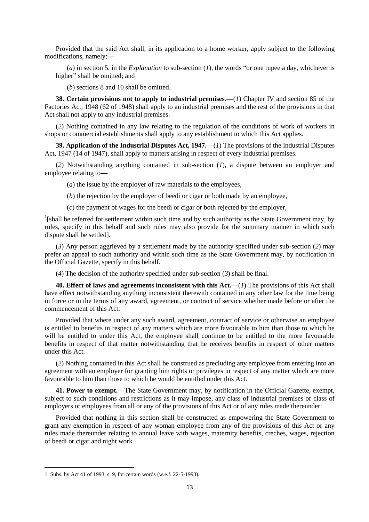Provided that the said Act shall, in its application to a home worker, apply subject to the following modifications, namely:**—**

(*a*) in section 5, in the *Explanation* to sub-section (*1*), the words "or one rupee a day, whichever is higher" shall be omitted; and

(*b*) sections 8 and 10 shall be omitted.

**38. Certain provisions not to apply to industrial premises.—**(*1*) Chapter IV and section 85 of the Factories Act, 1948 (62 of 1948) shall apply to an industrial premises and the rest of the provisions in that Act shall not apply to any industrial premises.

(*2*) Nothing contained in any law relating to the regulation of the conditions of work of workers in shops or commercial establishments shall apply to any establishment to which this Act applies.

**39. Application of the Industrial Disputes Act, 1947.—**(*1*) The provisions of the Industrial Disputes Act, 1947 (14 of 1947), shall apply to matters arising in respect of every industrial premises.

(*2*) Notwithstanding anything contained in sub-section (*1*), a dispute between an employer and employee relating to**—**

(*a*) the issue by the employer of raw materials to the employees,

(*b*) the rejection by the employer of beedi or cigar or both made by an employee,

(*c*) the payment of wages for the beedi or cigar or both rejected by the employer,

<sup>1</sup>[shall be referred for settlement within such time and by such authority as the State Government may, by rules, specify in this behalf and such rules may also provide for the summary manner in which such dispute shall be settled].

(*3*) Any person aggrieved by a settlement made by the authority specified under sub-section (*2*) may prefer an appeal to such authority and within such time as the State Government may, by notification in the Official Gazette, specify in this behalf.

(*4*) The decision of the authority specified under sub-section (*3*) shall be final.

**40. Effect of laws and agreements inconsistent with this Act.—**(*1*) The provisions of this Act shall have effect notwithstanding anything inconsistent therewith contained in any other law for the time being in force or in the terms of any award, agreement, or contract of service whether made before or after the commencement of this Act:

Provided that where under any such award, agreement, contract of service or otherwise an employee is entitled to benefits in respect of any matters which are more favourable to him than those to which he will be entitled to under this Act, the employee shall continue to be entitled to the more favourable benefits in respect of that matter notwithstanding that he receives benefits in respect of other matters under this Act.

(*2*) Nothing contained in this Act shall be construed as precluding any employee from entering into an agreement with an employer for granting him rights or privileges in respect of any matter which are more favourable to him than those to which he would be entitled under this Act.

**41. Power to exempt.—**The State Government may, by notification in the Official Gazette, exempt, subject to such conditions and restrictions as it may impose, any class of industrial premises or class of employers or employees from all or any of the provisions of this Act or of any rules made thereunder:

Provided that nothing in this section shall be constructed as empowering the State Government to grant any exemption in respect of any woman employee from any of the provisions of this Act or any rules made thereunder relating to annual leave with wages, maternity benefits, creches, wages, rejection of beedi or cigar and night work.

<sup>1.</sup> Subs. by Act 41 of 1993, s. 9, for certain words (w.e.f. 22-5-1993).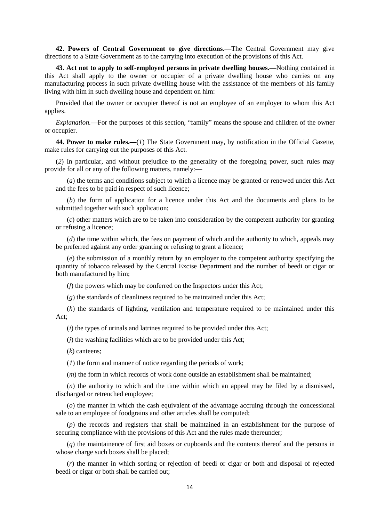**42. Powers of Central Government to give directions.—**The Central Government may give directions to a State Government as to the carrying into execution of the provisions of this Act.

**43. Act not to apply to self-employed persons in private dwelling houses.—**Nothing contained in this Act shall apply to the owner or occupier of a private dwelling house who carries on any manufacturing process in such private dwelling house with the assistance of the members of his family living with him in such dwelling house and dependent on him:

Provided that the owner or occupier thereof is not an employee of an employer to whom this Act applies.

*Explanation.—*For the purposes of this section, "family" means the spouse and children of the owner or occupier.

**44. Power to make rules.—**(*1*) The State Government may, by notification in the Official Gazette, make rules for carrying out the purposes of this Act.

(*2*) In particular, and without prejudice to the generality of the foregoing power, such rules may provide for all or any of the following matters, namely:**—**

(*a*) the terms and conditions subject to which a licence may be granted or renewed under this Act and the fees to be paid in respect of such licence;

(*b*) the form of application for a licence under this Act and the documents and plans to be submitted together with such application;

(*c*) other matters which are to be taken into consideration by the competent authority for granting or refusing a licence;

(*d*) the time within which, the fees on payment of which and the authority to which, appeals may be preferred against any order granting or refusing to grant a licence;

(*e*) the submission of a monthly return by an employer to the competent authority specifying the quantity of tobacco released by the Central Excise Department and the number of beedi or cigar or both manufactured by him;

(*f*) the powers which may be conferred on the Inspectors under this Act;

(*g*) the standards of cleanliness required to be maintained under this Act;

(*h*) the standards of lighting, ventilation and temperature required to be maintained under this Act;

(*i*) the types of urinals and latrines required to be provided under this Act;

(*j*) the washing facilities which are to be provided under this Act;

(*k*) canteens;

(*1*) the form and manner of notice regarding the periods of work;

(*m*) the form in which records of work done outside an establishment shall be maintained;

(*n*) the authority to which and the time within which an appeal may be filed by a dismissed, discharged or retrenched employee;

(*o*) the manner in which the cash equivalent of the advantage accruing through the concessional sale to an employee of foodgrains and other articles shall be computed;

(*p*) the records and registers that shall be maintained in an establishment for the purpose of securing compliance with the provisions of this Act and the rules made thereunder;

(*q*) the maintainence of first aid boxes or cupboards and the contents thereof and the persons in whose charge such boxes shall be placed:

(*r*) the manner in which sorting or rejection of beedi or cigar or both and disposal of rejected beedi or cigar or both shall be carried out;